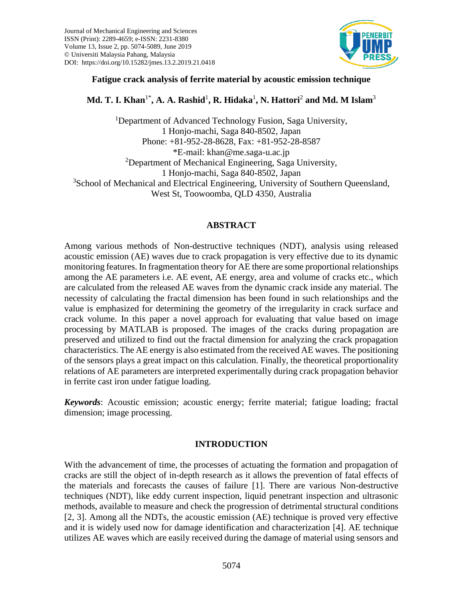

## **Fatigue crack analysis of ferrite material by acoustic emission technique**

# **Md. T. I. Khan**1\***, A. A. Rashid**<sup>1</sup> **, R. Hidaka**<sup>1</sup> **, N. Hattori**<sup>2</sup> **and Md. M Islam**<sup>3</sup>

<sup>1</sup>Department of Advanced Technology Fusion, Saga University, 1 Honjo-machi, Saga 840-8502, Japan Phone: +81-952-28-8628, Fax: +81-952-28-8587 \*E-mail: khan@me.saga-u.ac.jp <sup>2</sup>Department of Mechanical Engineering, Saga University, 1 Honjo-machi, Saga 840-8502, Japan <sup>3</sup>School of Mechanical and Electrical Engineering, University of Southern Queensland, West St, Toowoomba, QLD 4350, Australia

## **ABSTRACT**

Among various methods of Non-destructive techniques (NDT), analysis using released acoustic emission (AE) waves due to crack propagation is very effective due to its dynamic monitoring features. In fragmentation theory for AE there are some proportional relationships among the AE parameters i.e. AE event, AE energy, area and volume of cracks etc., which are calculated from the released AE waves from the dynamic crack inside any material. The necessity of calculating the fractal dimension has been found in such relationships and the value is emphasized for determining the geometry of the irregularity in crack surface and crack volume. In this paper a novel approach for evaluating that value based on image processing by MATLAB is proposed. The images of the cracks during propagation are preserved and utilized to find out the fractal dimension for analyzing the crack propagation characteristics. The AE energy is also estimated from the received AE waves. The positioning of the sensors plays a great impact on this calculation. Finally, the theoretical proportionality relations of AE parameters are interpreted experimentally during crack propagation behavior in ferrite cast iron under fatigue loading.

*Keywords*: Acoustic emission; acoustic energy; ferrite material; fatigue loading; fractal dimension; image processing.

## **INTRODUCTION**

With the advancement of time, the processes of actuating the formation and propagation of cracks are still the object of in-depth research as it allows the prevention of fatal effects of the materials and forecasts the causes of failure [1]. There are various Non-destructive techniques (NDT), like eddy current inspection, liquid penetrant inspection and ultrasonic methods, available to measure and check the progression of detrimental structural conditions [2, 3]. Among all the NDTs, the acoustic emission (AE) technique is proved very effective and it is widely used now for damage identification and characterization [4]. AE technique utilizes AE waves which are easily received during the damage of material using sensors and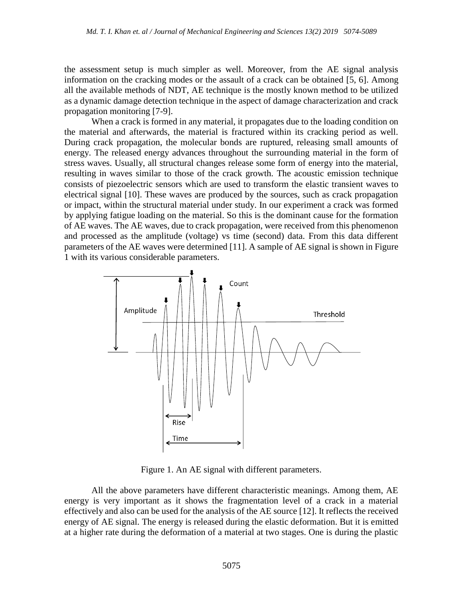the assessment setup is much simpler as well. Moreover, from the AE signal analysis information on the cracking modes or the assault of a crack can be obtained [5, 6]. Among all the available methods of NDT, AE technique is the mostly known method to be utilized as a dynamic damage detection technique in the aspect of damage characterization and crack propagation monitoring [7-9].

When a crack is formed in any material, it propagates due to the loading condition on the material and afterwards, the material is fractured within its cracking period as well. During crack propagation, the molecular bonds are ruptured, releasing small amounts of energy. The released energy advances throughout the surrounding material in the form of stress waves. Usually, all structural changes release some form of energy into the material, resulting in waves similar to those of the crack growth. The acoustic emission technique consists of piezoelectric sensors which are used to transform the elastic transient waves to electrical signal [10]. These waves are produced by the sources, such as crack propagation or impact, within the structural material under study. In our experiment a crack was formed by applying fatigue loading on the material. So this is the dominant cause for the formation of AE waves. The AE waves, due to crack propagation, were received from this phenomenon and processed as the amplitude (voltage) vs time (second) data. From this data different parameters of the AE waves were determined [11]. A sample of AE signal is shown in Figure 1 with its various considerable parameters.



Figure 1. An AE signal with different parameters.

All the above parameters have different characteristic meanings. Among them, AE energy is very important as it shows the fragmentation level of a crack in a material effectively and also can be used for the analysis of the AE source [12]. It reflects the received energy of AE signal. The energy is released during the elastic deformation. But it is emitted at a higher rate during the deformation of a material at two stages. One is during the plastic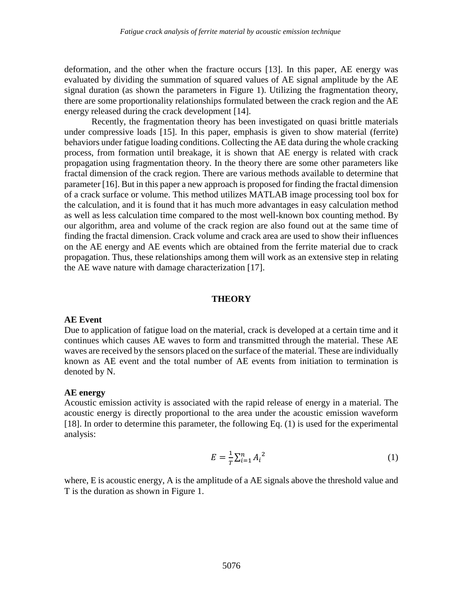deformation, and the other when the fracture occurs [13]. In this paper, AE energy was evaluated by dividing the summation of squared values of AE signal amplitude by the AE signal duration (as shown the parameters in Figure 1). Utilizing the fragmentation theory, there are some proportionality relationships formulated between the crack region and the AE energy released during the crack development [14].

Recently, the fragmentation theory has been investigated on quasi brittle materials under compressive loads [15]. In this paper, emphasis is given to show material (ferrite) behaviors under fatigue loading conditions. Collecting the AE data during the whole cracking process, from formation until breakage, it is shown that AE energy is related with crack propagation using fragmentation theory. In the theory there are some other parameters like fractal dimension of the crack region. There are various methods available to determine that parameter [16]. But in this paper a new approach is proposed for finding the fractal dimension of a crack surface or volume. This method utilizes MATLAB image processing tool box for the calculation, and it is found that it has much more advantages in easy calculation method as well as less calculation time compared to the most well-known box counting method. By our algorithm, area and volume of the crack region are also found out at the same time of finding the fractal dimension. Crack volume and crack area are used to show their influences on the AE energy and AE events which are obtained from the ferrite material due to crack propagation. Thus, these relationships among them will work as an extensive step in relating the AE wave nature with damage characterization [17].

#### **THEORY**

#### **AE Event**

Due to application of fatigue load on the material, crack is developed at a certain time and it continues which causes AE waves to form and transmitted through the material. These AE waves are received by the sensors placed on the surface of the material. These are individually known as AE event and the total number of AE events from initiation to termination is denoted by N.

### **AE energy**

Acoustic emission activity is associated with the rapid release of energy in a material. The acoustic energy is directly proportional to the area under the acoustic emission waveform [18]. In order to determine this parameter, the following Eq. (1) is used for the experimental analysis:

$$
E = \frac{1}{T} \sum_{i=1}^{n} A_i^{2}
$$
 (1)

where, E is acoustic energy, A is the amplitude of a AE signals above the threshold value and T is the duration as shown in Figure 1.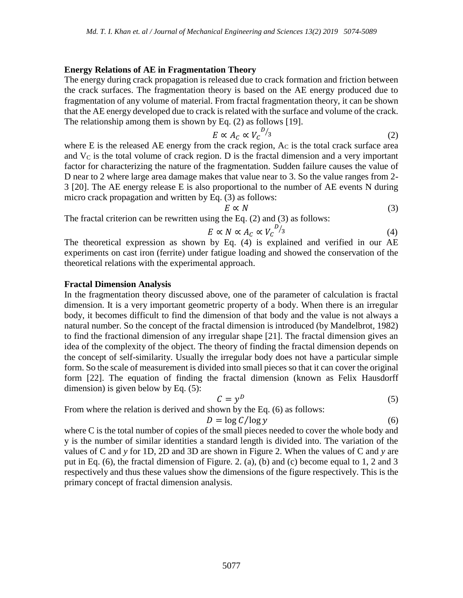### **Energy Relations of AE in Fragmentation Theory**

The energy during crack propagation is released due to crack formation and friction between the crack surfaces. The fragmentation theory is based on the AE energy produced due to fragmentation of any volume of material. From fractal fragmentation theory, it can be shown that the AE energy developed due to crack is related with the surface and volume of the crack. The relationship among them is shown by Eq. (2) as follows [19].

$$
E \propto A_c \propto V_c^{D/g} \tag{2}
$$

where  $E$  is the released  $AE$  energy from the crack region,  $Ac$  is the total crack surface area and  $V_c$  is the total volume of crack region. D is the fractal dimension and a very important factor for characterizing the nature of the fragmentation. Sudden failure causes the value of D near to 2 where large area damage makes that value near to 3. So the value ranges from 2- 3 [20]. The AE energy release E is also proportional to the number of AE events N during micro crack propagation and written by Eq. (3) as follows:

 $E \propto N$  (3)

The fractal criterion can be rewritten using the Eq. (2) and (3) as follows:

$$
E \propto N \propto A_c \propto V_c^{D/g} \tag{4}
$$

The theoretical expression as shown by Eq. (4) is explained and verified in our AE experiments on cast iron (ferrite) under fatigue loading and showed the conservation of the theoretical relations with the experimental approach.

#### **Fractal Dimension Analysis**

In the fragmentation theory discussed above, one of the parameter of calculation is fractal dimension. It is a very important geometric property of a body. When there is an irregular body, it becomes difficult to find the dimension of that body and the value is not always a natural number. So the concept of the fractal dimension is introduced (by Mandelbrot, 1982) to find the fractional dimension of any irregular shape [21]. The fractal dimension gives an idea of the complexity of the object. The theory of finding the fractal dimension depends on the concept of self-similarity. Usually the irregular body does not have a particular simple form. So the scale of measurement is divided into small pieces so that it can cover the original form [22]. The equation of finding the fractal dimension (known as Felix Hausdorff dimension) is given below by Eq. (5):

$$
C = y^D \tag{5}
$$

From where the relation is derived and shown by the Eq. (6) as follows:

$$
D = \log C / \log y \tag{6}
$$

where C is the total number of copies of the small pieces needed to cover the whole body and y is the number of similar identities a standard length is divided into. The variation of the values of C and *y* for 1D, 2D and 3D are shown in Figure 2. When the values of C and *y* are put in Eq. (6), the fractal dimension of Figure. 2. (a), (b) and (c) become equal to 1, 2 and 3 respectively and thus these values show the dimensions of the figure respectively. This is the primary concept of fractal dimension analysis.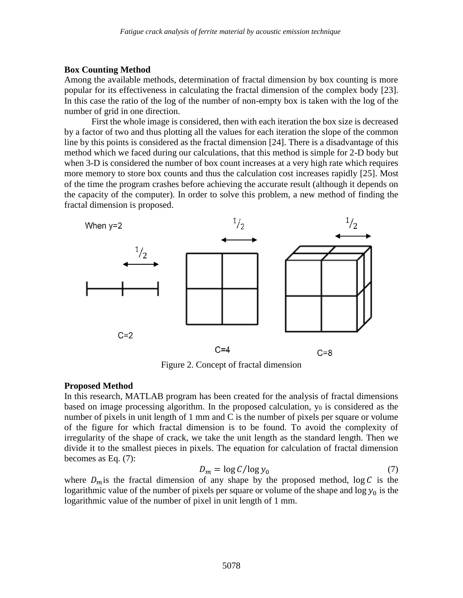## **Box Counting Method**

Among the available methods, determination of fractal dimension by box counting is more popular for its effectiveness in calculating the fractal dimension of the complex body [23]. In this case the ratio of the log of the number of non-empty box is taken with the log of the number of grid in one direction.

First the whole image is considered, then with each iteration the box size is decreased by a factor of two and thus plotting all the values for each iteration the slope of the common line by this points is considered as the fractal dimension [24]. There is a disadvantage of this method which we faced during our calculations, that this method is simple for 2-D body but when 3-D is considered the number of box count increases at a very high rate which requires more memory to store box counts and thus the calculation cost increases rapidly [25]. Most of the time the program crashes before achieving the accurate result (although it depends on the capacity of the computer). In order to solve this problem, a new method of finding the fractal dimension is proposed.



Figure 2. Concept of fractal dimension

# **Proposed Method**

In this research, MATLAB program has been created for the analysis of fractal dimensions based on image processing algorithm. In the proposed calculation,  $y_0$  is considered as the number of pixels in unit length of 1 mm and C is the number of pixels per square or volume of the figure for which fractal dimension is to be found. To avoid the complexity of irregularity of the shape of crack, we take the unit length as the standard length. Then we divide it to the smallest pieces in pixels. The equation for calculation of fractal dimension becomes as Eq. (7):

$$
D_m = \log C / \log y_0 \tag{7}
$$

where  $D_m$  is the fractal dimension of any shape by the proposed method, log C is the logarithmic value of the number of pixels per square or volume of the shape and  $\log y_0$  is the logarithmic value of the number of pixel in unit length of 1 mm.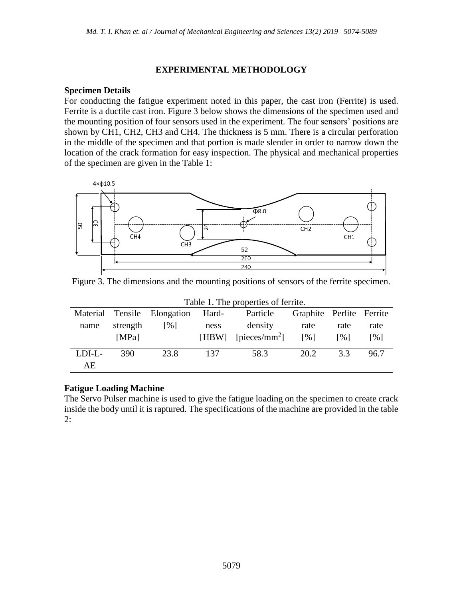## **EXPERIMENTAL METHODOLOGY**

### **Specimen Details**

For conducting the fatigue experiment noted in this paper, the cast iron (Ferrite) is used. Ferrite is a ductile cast iron. Figure 3 below shows the dimensions of the specimen used and the mounting position of four sensors used in the experiment. The four sensors' positions are shown by CH1, CH2, CH3 and CH4. The thickness is 5 mm. There is a circular perforation in the middle of the specimen and that portion is made slender in order to narrow down the location of the crack formation for easy inspection. The physical and mechanical properties of the specimen are given in the Table 1:



Figure 3. The dimensions and the mounting positions of sensors of the ferrite specimen.

 $T$  able 1. The properties of ferrite.

| Table 1. The properties of ferrite. |          |                             |       |                           |                          |                          |                          |
|-------------------------------------|----------|-----------------------------|-------|---------------------------|--------------------------|--------------------------|--------------------------|
|                                     |          | Material Tensile Elongation | Hard- | Particle                  | Graphite Perlite Ferrite |                          |                          |
| name                                | strength | [%]                         | ness  | density                   | rate                     | rate                     | rate                     |
|                                     | [MPa]    |                             | [HBW] | [pieces/mm <sup>2</sup> ] | $\lceil \sqrt{9} \rceil$ | $\lceil \sqrt{6} \rceil$ | $\lceil \sqrt{9} \rceil$ |
| LDI-L-                              | 390      | 23.8                        | 137   | 58.3                      | 20.2                     | 3.3                      | 96.7                     |
| AE                                  |          |                             |       |                           |                          |                          |                          |

## **Fatigue Loading Machine**

The Servo Pulser machine is used to give the fatigue loading on the specimen to create crack inside the body until it is raptured. The specifications of the machine are provided in the table 2: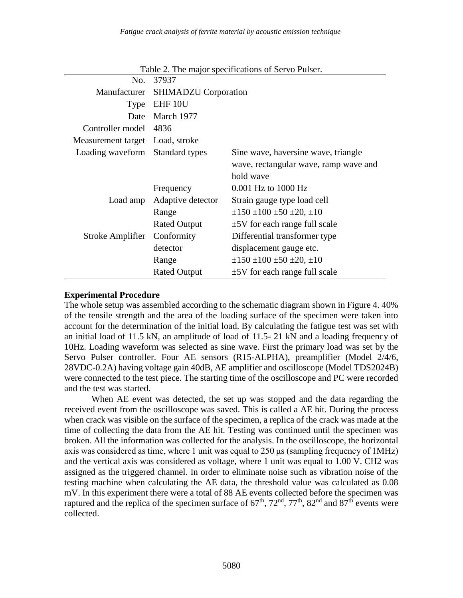|                                 | No. 37937                         | $\frac{1}{2}$ and $\frac{1}{2}$ is the second second or $\frac{1}{2}$ . The second second second second second second second second second second second second second second second second second second second second second second sec |  |  |
|---------------------------------|-----------------------------------|-------------------------------------------------------------------------------------------------------------------------------------------------------------------------------------------------------------------------------------------|--|--|
|                                 | Manufacturer SHIMADZU Corporation |                                                                                                                                                                                                                                           |  |  |
|                                 | Type EHF 10U                      |                                                                                                                                                                                                                                           |  |  |
| Date                            | March 1977                        |                                                                                                                                                                                                                                           |  |  |
| Controller model 4836           |                                   |                                                                                                                                                                                                                                           |  |  |
| Measurement target Load, stroke |                                   |                                                                                                                                                                                                                                           |  |  |
| Loading waveform Standard types |                                   | Sine wave, haversine wave, triangle                                                                                                                                                                                                       |  |  |
|                                 |                                   | wave, rectangular wave, ramp wave and                                                                                                                                                                                                     |  |  |
|                                 |                                   | hold wave                                                                                                                                                                                                                                 |  |  |
|                                 | Frequency                         | 0.001 Hz to 1000 Hz                                                                                                                                                                                                                       |  |  |
|                                 | Load amp Adaptive detector        | Strain gauge type load cell                                                                                                                                                                                                               |  |  |
|                                 | Range                             | $\pm 150 \pm 100 \pm 50 \pm 20, \pm 10$                                                                                                                                                                                                   |  |  |
|                                 | <b>Rated Output</b>               | $\pm$ 5V for each range full scale                                                                                                                                                                                                        |  |  |
| Stroke Amplifier                | Conformity                        | Differential transformer type                                                                                                                                                                                                             |  |  |
|                                 | detector                          | displacement gauge etc.                                                                                                                                                                                                                   |  |  |
|                                 | Range                             | $\pm 150 \pm 100 \pm 50 \pm 20, \pm 10$                                                                                                                                                                                                   |  |  |
|                                 | <b>Rated Output</b>               | $\pm$ 5V for each range full scale                                                                                                                                                                                                        |  |  |

Table 2. The major specifications of Servo Pulser.

### **Experimental Procedure**

The whole setup was assembled according to the schematic diagram shown in Figure 4. 40% of the tensile strength and the area of the loading surface of the specimen were taken into account for the determination of the initial load. By calculating the fatigue test was set with an initial load of 11.5 kN, an amplitude of load of 11.5- 21 kN and a loading frequency of 10Hz. Loading waveform was selected as sine wave. First the primary load was set by the Servo Pulser controller. Four AE sensors (R15-ALPHA), preamplifier (Model 2/4/6, 28VDC-0.2A) having voltage gain 40dB, AE amplifier and oscilloscope (Model TDS2024B) were connected to the test piece. The starting time of the oscilloscope and PC were recorded and the test was started.

When AE event was detected, the set up was stopped and the data regarding the received event from the oscilloscope was saved. This is called a AE hit. During the process when crack was visible on the surface of the specimen, a replica of the crack was made at the time of collecting the data from the AE hit. Testing was continued until the specimen was broken. All the information was collected for the analysis. In the oscilloscope, the horizontal axis was considered as time, where 1 unit was equal to 250 μs (sampling frequency of 1MHz) and the vertical axis was considered as voltage, where 1 unit was equal to 1.00 V. CH2 was assigned as the triggered channel. In order to eliminate noise such as vibration noise of the testing machine when calculating the AE data, the threshold value was calculated as 0.08 mV. In this experiment there were a total of 88 AE events collected before the specimen was raptured and the replica of the specimen surface of  $67<sup>th</sup>$ ,  $72<sup>nd</sup>$ ,  $77<sup>th</sup>$ ,  $82<sup>nd</sup>$  and  $87<sup>th</sup>$  events were collected.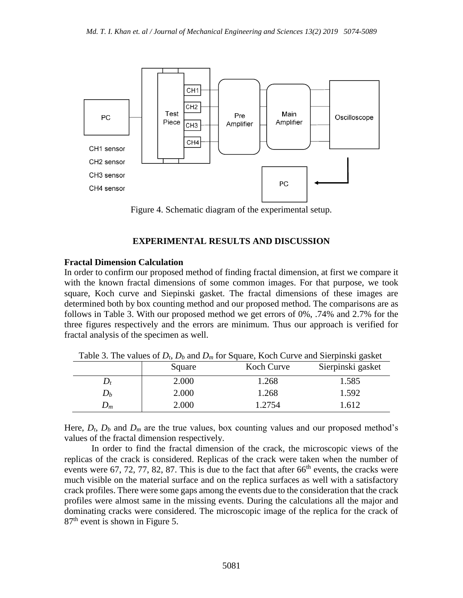

Figure 4. Schematic diagram of the experimental setup.

# **EXPERIMENTAL RESULTS AND DISCUSSION**

## **Fractal Dimension Calculation**

In order to confirm our proposed method of finding fractal dimension, at first we compare it with the known fractal dimensions of some common images. For that purpose, we took square, Koch curve and Siepinski gasket. The fractal dimensions of these images are determined both by box counting method and our proposed method. The comparisons are as follows in Table 3. With our proposed method we get errors of 0%, .74% and 2.7% for the three figures respectively and the errors are minimum. Thus our approach is verified for fractal analysis of the specimen as well.

|                    | Square | Koch Curve | Sierpinski gasket |
|--------------------|--------|------------|-------------------|
| $\boldsymbol{D_t}$ | 2.000  | 1.268      | 1.585             |
| $D_{b}$            | 2.000  | 1.268      | 1.592             |
| $D_m$              | 2.000  | 1.2754     | 1.612             |

Table 3. The values of *Dt*, *D<sup>b</sup>* and *D<sup>m</sup>* for Square, Koch Curve and Sierpinski gasket

Here,  $D_t$ ,  $D_b$  and  $D_m$  are the true values, box counting values and our proposed method's values of the fractal dimension respectively.

In order to find the fractal dimension of the crack, the microscopic views of the replicas of the crack is considered. Replicas of the crack were taken when the number of events were 67, 72, 77, 82, 87. This is due to the fact that after  $66<sup>th</sup>$  events, the cracks were much visible on the material surface and on the replica surfaces as well with a satisfactory crack profiles. There were some gaps among the events due to the consideration that the crack profiles were almost same in the missing events. During the calculations all the major and dominating cracks were considered. The microscopic image of the replica for the crack of 87th event is shown in Figure 5.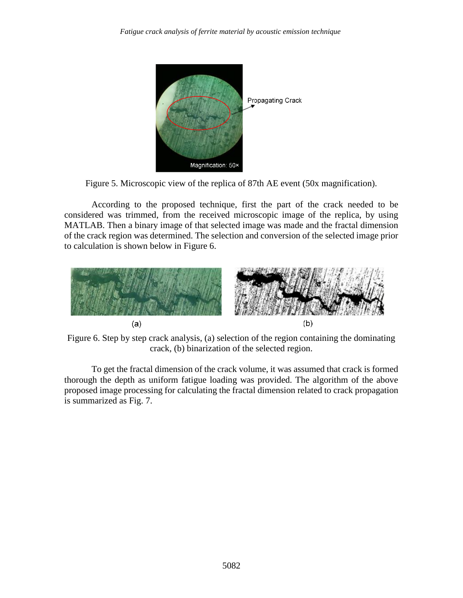

Figure 5. Microscopic view of the replica of 87th AE event (50x magnification).

According to the proposed technique, first the part of the crack needed to be considered was trimmed, from the received microscopic image of the replica, by using MATLAB. Then a binary image of that selected image was made and the fractal dimension of the crack region was determined. The selection and conversion of the selected image prior to calculation is shown below in Figure 6.



Figure 6. Step by step crack analysis, (a) selection of the region containing the dominating crack, (b) binarization of the selected region.

To get the fractal dimension of the crack volume, it was assumed that crack is formed thorough the depth as uniform fatigue loading was provided. The algorithm of the above proposed image processing for calculating the fractal dimension related to crack propagation is summarized as Fig. 7.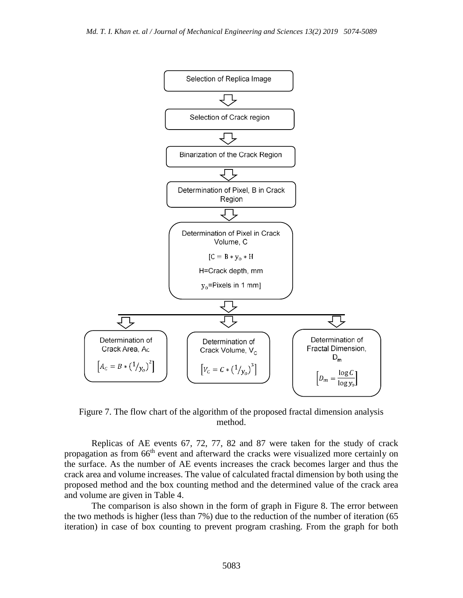

Figure 7. The flow chart of the algorithm of the proposed fractal dimension analysis method.

Replicas of AE events 67, 72, 77, 82 and 87 were taken for the study of crack propagation as from 66<sup>th</sup> event and afterward the cracks were visualized more certainly on the surface. As the number of AE events increases the crack becomes larger and thus the crack area and volume increases. The value of calculated fractal dimension by both using the proposed method and the box counting method and the determined value of the crack area and volume are given in Table 4.

The comparison is also shown in the form of graph in Figure 8. The error between the two methods is higher (less than 7%) due to the reduction of the number of iteration (65 iteration) in case of box counting to prevent program crashing. From the graph for both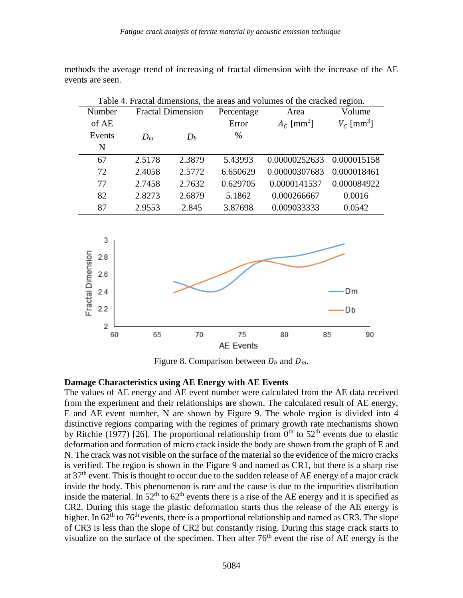methods the average trend of increasing of fractal dimension with the increase of the AE events are seen.

| Table 4. Fractal dimensions, the areas and volumes of the cracked region. |                          |        |            |                          |                          |  |
|---------------------------------------------------------------------------|--------------------------|--------|------------|--------------------------|--------------------------|--|
| Number                                                                    | <b>Fractal Dimension</b> |        | Percentage | Area                     | Volume                   |  |
| of AE                                                                     |                          |        | Error      | $A_c$ [mm <sup>2</sup> ] | $V_c$ [mm <sup>3</sup> ] |  |
| Events                                                                    | $D_m$                    | $D_b$  | $\%$       |                          |                          |  |
| $\mathbf N$                                                               |                          |        |            |                          |                          |  |
| 67                                                                        | 2.5178                   | 2.3879 | 5.43993    | 0.00000252633            | 0.000015158              |  |
| 72                                                                        | 2.4058                   | 2.5772 | 6.650629   | 0.00000307683            | 0.000018461              |  |
| 77                                                                        | 2.7458                   | 2.7632 | 0.629705   | 0.0000141537             | 0.000084922              |  |
| 82                                                                        | 2.8273                   | 2.6879 | 5.1862     | 0.000266667              | 0.0016                   |  |
| 87                                                                        | 2.9553                   | 2.845  | 3.87698    | 0.009033333              | 0.0542                   |  |



Figure 8. Comparison between  $D_b$  and  $D_m$ .

### **Damage Characteristics using AE Energy with AE Events**

The values of AE energy and AE event number were calculated from the AE data received from the experiment and their relationships are shown. The calculated result of AE energy, E and AE event number, N are shown by Figure 9. The whole region is divided into 4 distinctive regions comparing with the regimes of primary growth rate mechanisms shown by Ritchie (1977) [26]. The proportional relationship from  $0<sup>th</sup>$  to  $52<sup>th</sup>$  events due to elastic deformation and formation of micro crack inside the body are shown from the graph of E and N. The crack was not visible on the surface of the material so the evidence of the micro cracks is verified. The region is shown in the Figure 9 and named as CR1, but there is a sharp rise at  $37<sup>th</sup>$  event. This is thought to occur due to the sudden release of AE energy of a major crack inside the body. This phenomenon is rare and the cause is due to the impurities distribution inside the material. In  $52<sup>th</sup>$  to  $62<sup>th</sup>$  events there is a rise of the AE energy and it is specified as CR2. During this stage the plastic deformation starts thus the release of the AE energy is higher. In  $62<sup>th</sup>$  to  $76<sup>th</sup>$  events, there is a proportional relationship and named as CR3. The slope of CR3 is less than the slope of CR2 but constantly rising. During this stage crack starts to visualize on the surface of the specimen. Then after  $76<sup>th</sup>$  event the rise of AE energy is the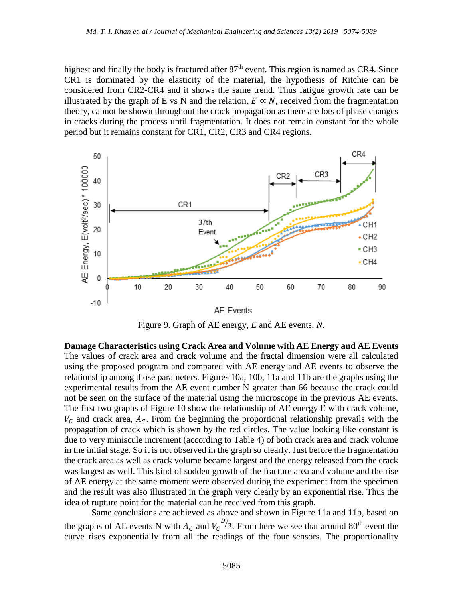highest and finally the body is fractured after  $87<sup>th</sup>$  event. This region is named as CR4. Since CR1 is dominated by the elasticity of the material, the hypothesis of Ritchie can be considered from CR2-CR4 and it shows the same trend. Thus fatigue growth rate can be illustrated by the graph of E vs N and the relation,  $E \propto N$ , received from the fragmentation theory, cannot be shown throughout the crack propagation as there are lots of phase changes in cracks during the process until fragmentation. It does not remain constant for the whole period but it remains constant for CR1, CR2, CR3 and CR4 regions.



Figure 9. Graph of AE energy, *E* and AE events, *N.*

**Damage Characteristics using Crack Area and Volume with AE Energy and AE Events** The values of crack area and crack volume and the fractal dimension were all calculated using the proposed program and compared with AE energy and AE events to observe the relationship among those parameters. Figures 10a, 10b, 11a and 11b are the graphs using the experimental results from the AE event number N greater than 66 because the crack could not be seen on the surface of the material using the microscope in the previous AE events. The first two graphs of Figure 10 show the relationship of AE energy E with crack volume,  $V_c$  and crack area,  $A_c$ . From the beginning the proportional relationship prevails with the propagation of crack which is shown by the red circles. The value looking like constant is due to very miniscule increment (according to Table 4) of both crack area and crack volume in the initial stage. So it is not observed in the graph so clearly. Just before the fragmentation the crack area as well as crack volume became largest and the energy released from the crack was largest as well. This kind of sudden growth of the fracture area and volume and the rise of AE energy at the same moment were observed during the experiment from the specimen and the result was also illustrated in the graph very clearly by an exponential rise. Thus the idea of rupture point for the material can be received from this graph.

Same conclusions are achieved as above and shown in Figure 11a and 11b, based on the graphs of AE events N with  $A_c$  and  $V_c^{D/3}$ . From here we see that around 80<sup>th</sup> event the curve rises exponentially from all the readings of the four sensors. The proportionality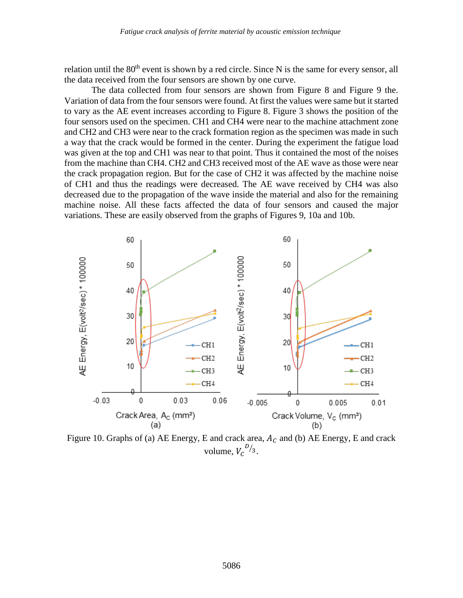relation until the 80<sup>th</sup> event is shown by a red circle. Since N is the same for every sensor, all the data received from the four sensors are shown by one curve.

The data collected from four sensors are shown from Figure 8 and Figure 9 the. Variation of data from the four sensors were found. At first the values were same but it started to vary as the AE event increases according to Figure 8. Figure 3 shows the position of the four sensors used on the specimen. CH1 and CH4 were near to the machine attachment zone and CH2 and CH3 were near to the crack formation region as the specimen was made in such a way that the crack would be formed in the center. During the experiment the fatigue load was given at the top and CH1 was near to that point. Thus it contained the most of the noises from the machine than CH4. CH2 and CH3 received most of the AE wave as those were near the crack propagation region. But for the case of CH2 it was affected by the machine noise of CH1 and thus the readings were decreased. The AE wave received by CH4 was also decreased due to the propagation of the wave inside the material and also for the remaining machine noise. All these facts affected the data of four sensors and caused the major variations. These are easily observed from the graphs of Figures 9, 10a and 10b.



Figure 10. Graphs of (a) AE Energy, E and crack area,  $A_C$  and (b) AE Energy, E and crack volume,  $V_c^{D/3}$ .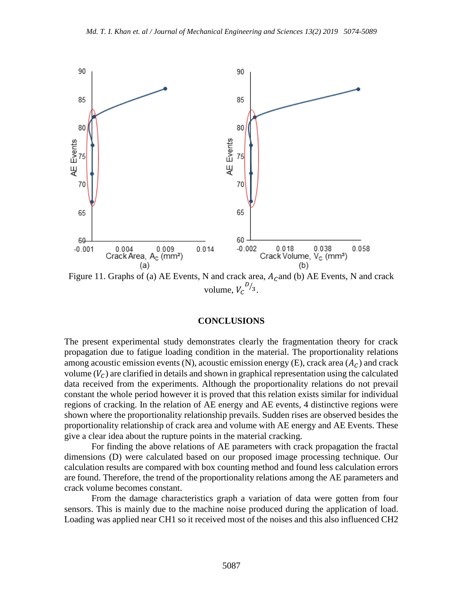

Figure 11. Graphs of (a) AE Events, N and crack area,  $A_C$  and (b) AE Events, N and crack volume,  $V_c^{D/3}$ .

### **CONCLUSIONS**

The present experimental study demonstrates clearly the fragmentation theory for crack propagation due to fatigue loading condition in the material. The proportionality relations among acoustic emission events (N), acoustic emission energy (E), crack area  $(A<sub>C</sub>)$  and crack volume  $(V<sub>C</sub>)$  are clarified in details and shown in graphical representation using the calculated data received from the experiments. Although the proportionality relations do not prevail constant the whole period however it is proved that this relation exists similar for individual regions of cracking. In the relation of AE energy and AE events, 4 distinctive regions were shown where the proportionality relationship prevails. Sudden rises are observed besides the proportionality relationship of crack area and volume with AE energy and AE Events. These give a clear idea about the rupture points in the material cracking.

For finding the above relations of AE parameters with crack propagation the fractal dimensions (D) were calculated based on our proposed image processing technique. Our calculation results are compared with box counting method and found less calculation errors are found. Therefore, the trend of the proportionality relations among the AE parameters and crack volume becomes constant.

From the damage characteristics graph a variation of data were gotten from four sensors. This is mainly due to the machine noise produced during the application of load. Loading was applied near CH1 so it received most of the noises and this also influenced CH2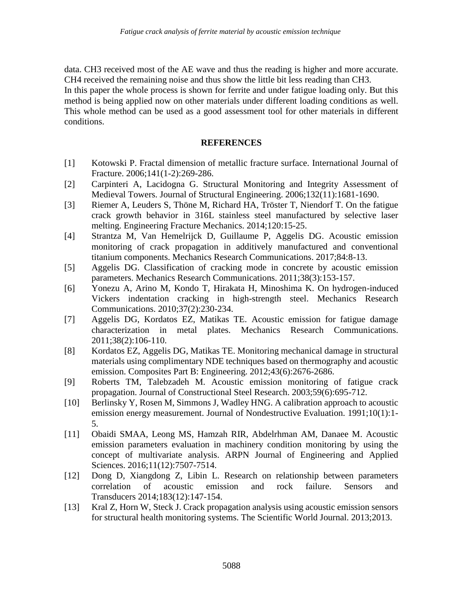data. CH3 received most of the AE wave and thus the reading is higher and more accurate. CH4 received the remaining noise and thus show the little bit less reading than CH3.

In this paper the whole process is shown for ferrite and under fatigue loading only. But this method is being applied now on other materials under different loading conditions as well. This whole method can be used as a good assessment tool for other materials in different conditions.

## **REFERENCES**

- [1] Kotowski P. Fractal dimension of metallic fracture surface. International Journal of Fracture. 2006;141(1-2):269-286.
- [2] Carpinteri A, Lacidogna G. Structural Monitoring and Integrity Assessment of Medieval Towers. Journal of Structural Engineering. 2006;132(11):1681-1690.
- [3] Riemer A, Leuders S, Thöne M, Richard HA, Tröster T, Niendorf T. On the fatigue crack growth behavior in 316L stainless steel manufactured by selective laser melting. Engineering Fracture Mechanics. 2014;120:15-25.
- [4] Strantza M, Van Hemelrijck D, Guillaume P, Aggelis DG. Acoustic emission monitoring of crack propagation in additively manufactured and conventional titanium components. Mechanics Research Communications. 2017;84:8-13.
- [5] Aggelis DG. Classification of cracking mode in concrete by acoustic emission parameters. Mechanics Research Communications. 2011;38(3):153-157.
- [6] Yonezu A, Arino M, Kondo T, Hirakata H, Minoshima K. On hydrogen-induced Vickers indentation cracking in high-strength steel. Mechanics Research Communications. 2010;37(2):230-234.
- [7] Aggelis DG, Kordatos EZ, Matikas TE. Acoustic emission for fatigue damage characterization in metal plates. Mechanics Research Communications. 2011;38(2):106-110.
- [8] Kordatos EZ, Aggelis DG, Matikas TE. Monitoring mechanical damage in structural materials using complimentary NDE techniques based on thermography and acoustic emission. Composites Part B: Engineering. 2012;43(6):2676-2686.
- [9] Roberts TM, Talebzadeh M. Acoustic emission monitoring of fatigue crack propagation. Journal of Constructional Steel Research. 2003;59(6):695-712.
- [10] Berlinsky Y, Rosen M, Simmons J, Wadley HNG. A calibration approach to acoustic emission energy measurement. Journal of Nondestructive Evaluation. 1991;10(1):1- 5.
- [11] Obaidi SMAA, Leong MS, Hamzah RIR, Abdelrhman AM, Danaee M. Acoustic emission parameters evaluation in machinery condition monitoring by using the concept of multivariate analysis. ARPN Journal of Engineering and Applied Sciences. 2016;11(12):7507-7514.
- [12] Dong D, Xiangdong Z, Libin L. Research on relationship between parameters correlation of acoustic emission and rock failure. Sensors and Transducers 2014;183(12):147-154.
- [13] Kral Z, Horn W, Steck J. Crack propagation analysis using acoustic emission sensors for structural health monitoring systems. The Scientific World Journal. 2013;2013.